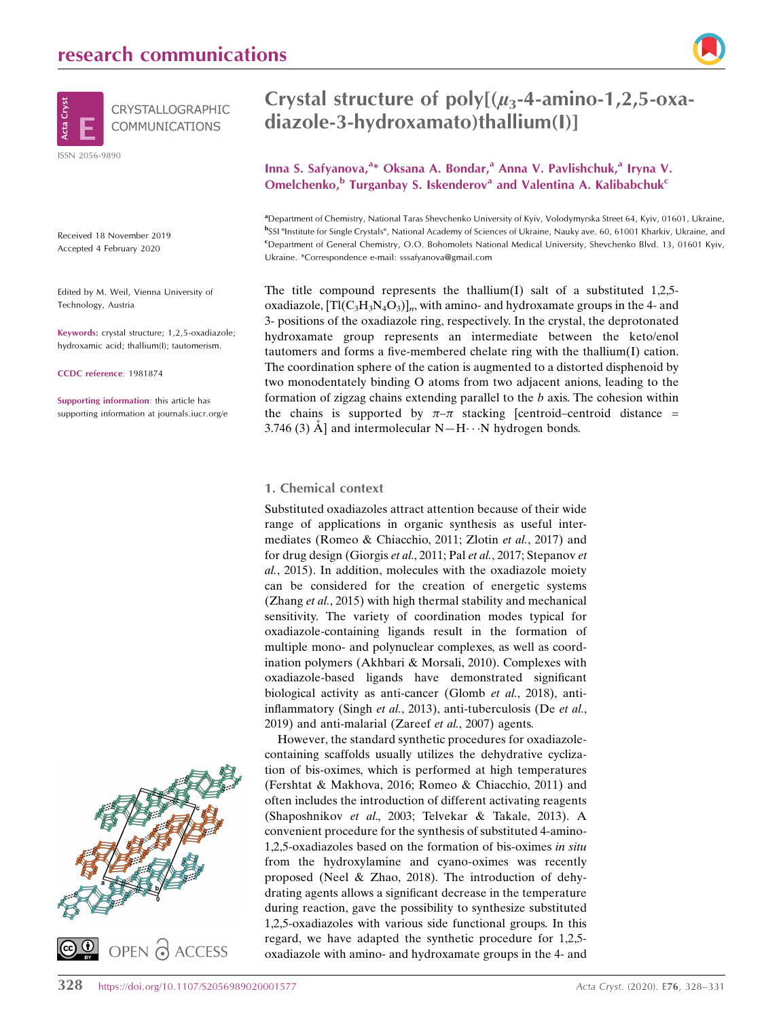

Received 18 November 2019 Accepted 4 February 2020

Edited by M. Weil, Vienna University of Technology, Austria

Keywords: crystal structure; 1,2,5-oxadiazole; hydroxamic acid; thallium(I); tautomerism.

CCDC reference: 1981874

Supporting information: this article has supporting information at journals.iucr.org/e



# Crystal structure of  $poly[(\mu_3-4\text{-amino-1},2,5\text{-oxa-1}$ diazole-3-hydroxamato)thallium(I)]

## Inna S. Safyanova,<sup>a</sup>\* Oksana A. Bondar,<sup>a</sup> Anna V. Pavlishchuk,<sup>a</sup> Iryna V. Omelchenko, $b$  Turganbay S. Iskenderov<sup>a</sup> and Valentina A. Kalibabchuk<sup>c</sup>

a Department of Chemistry, National Taras Shevchenko University of Kyiv, Volodymyrska Street 64, Kyiv, 01601, Ukraine, bSSI "Institute for Single Crystals", National Academy of Sciences of Ukraine, Nauky ave. 60, 61001 Kharkiv, Ukraine, and c Department of General Chemistry, O.O. Bohomolets National Medical University, Shevchenko Blvd. 13, 01601 Kyiv, Ukraine. \*Correspondence e-mail: sssafyanova@gmail.com

The title compound represents the thallium(I) salt of a substituted  $1,2,5$ oxadiazole,  $[T(C_3H_3N_4O_3)]_n$ , with amino- and hydroxamate groups in the 4- and 3- positions of the oxadiazole ring, respectively. In the crystal, the deprotonated hydroxamate group represents an intermediate between the keto/enol tautomers and forms a five-membered chelate ring with the thallium(I) cation. The coordination sphere of the cation is augmented to a distorted disphenoid by two monodentately binding O atoms from two adjacent anions, leading to the formation of zigzag chains extending parallel to the b axis. The cohesion within the chains is supported by  $\pi-\pi$  stacking [centroid–centroid distance = 3.746 (3)  $\AA$ ] and intermolecular N-H $\cdots$ N hydrogen bonds.

#### 1. Chemical context

Substituted oxadiazoles attract attention because of their wide range of applications in organic synthesis as useful intermediates (Romeo & Chiacchio, 2011; Zlotin et al., 2017) and for drug design (Giorgis et al., 2011; Pal et al., 2017; Stepanov et al., 2015). In addition, molecules with the oxadiazole moiety can be considered for the creation of energetic systems (Zhang et al., 2015) with high thermal stability and mechanical sensitivity. The variety of coordination modes typical for oxadiazole-containing ligands result in the formation of multiple mono- and polynuclear complexes, as well as coordination polymers (Akhbari & Morsali, 2010). Complexes with oxadiazole-based ligands have demonstrated significant biological activity as anti-cancer (Glomb et al., 2018), antiinflammatory (Singh et al., 2013), anti-tuberculosis (De et al., 2019) and anti-malarial (Zareef et al., 2007) agents.

However, the standard synthetic procedures for oxadiazolecontaining scaffolds usually utilizes the dehydrative cyclization of bis-oximes, which is performed at high temperatures (Fershtat & Makhova, 2016; Romeo & Chiacchio, 2011) and often includes the introduction of different activating reagents (Shaposhnikov et al., 2003; Telvekar & Takale, 2013). A convenient procedure for the synthesis of substituted 4-amino-1,2,5-oxadiazoles based on the formation of bis-oximes in situ from the hydroxylamine and cyano-oximes was recently proposed (Neel & Zhao, 2018). The introduction of dehydrating agents allows a significant decrease in the temperature during reaction, gave the possibility to synthesize substituted 1,2,5-oxadiazoles with various side functional groups. In this regard, we have adapted the synthetic procedure for 1,2,5 oxadiazole with amino- and hydroxamate groups in the 4- and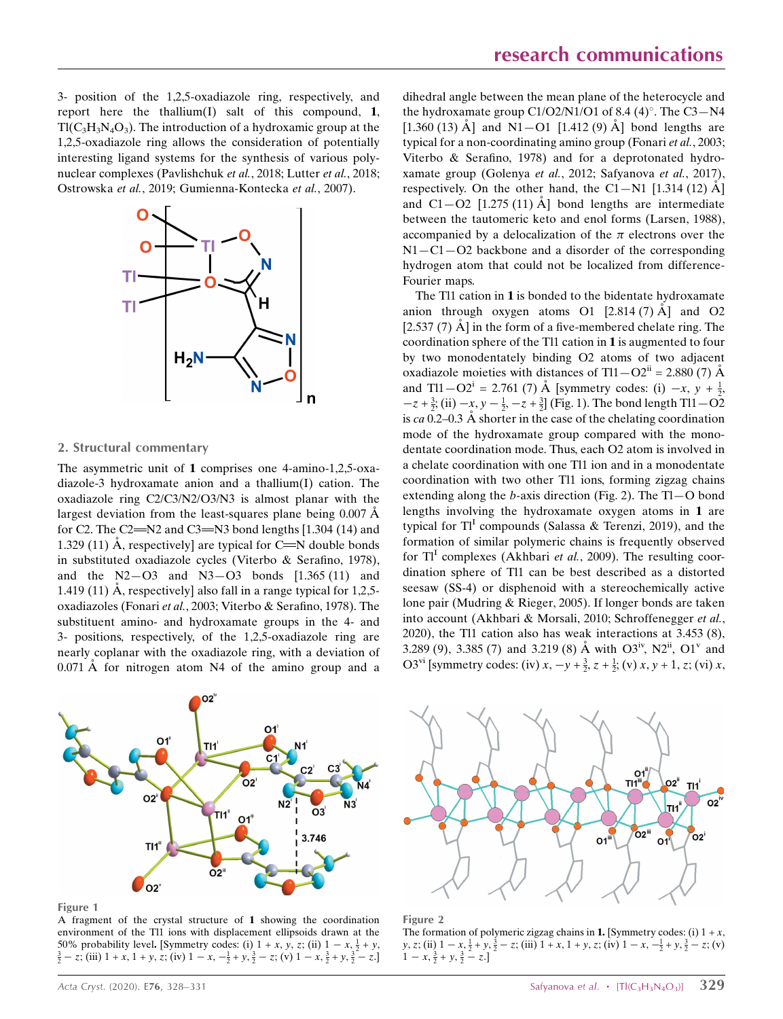3- position of the 1,2,5-oxadiazole ring, respectively, and report here the thallium(I) salt of this compound, 1,  $T(C_3H_3N_4O_3)$ . The introduction of a hydroxamic group at the 1,2,5-oxadiazole ring allows the consideration of potentially interesting ligand systems for the synthesis of various polynuclear complexes (Pavlishchuk et al., 2018; Lutter et al., 2018; Ostrowska et al., 2019; Gumienna-Kontecka et al., 2007).



#### 2. Structural commentary

The asymmetric unit of 1 comprises one 4-amino-1,2,5-oxadiazole-3 hydroxamate anion and a thallium(I) cation. The oxadiazole ring C2/C3/N2/O3/N3 is almost planar with the largest deviation from the least-squares plane being  $0.007 \text{ Å}$ for C2. The C2= $N2$  and C3= $N3$  bond lengths [1.304 (14) and 1.329 (11) Å, respectively] are typical for  $C = N$  double bonds in substituted oxadiazole cycles (Viterbo & Serafino, 1978), and the  $N2 - O3$  and  $N3 - O3$  bonds  $[1.365 (11)$  and 1.419 (11)  $\AA$ , respectively] also fall in a range typical for 1,2,5oxadiazoles (Fonari et al., 2003; Viterbo & Serafino, 1978). The substituent amino- and hydroxamate groups in the 4- and 3- positions, respectively, of the 1,2,5-oxadiazole ring are nearly coplanar with the oxadiazole ring, with a deviation of  $0.071 \text{ Å}$  for nitrogen atom N4 of the amino group and a



Figure 1

A fragment of the crystal structure of 1 showing the coordination environment of the Tl1 ions with displacement ellipsoids drawn at the 50% probability level. [Symmetry codes: (i)  $1 + x$ ,  $y$ ,  $z$ ; (ii)  $1 - x$ ,  $\frac{1}{2} + y$ ,  $\frac{3}{2} - z$ ; (iii)  $1 + x$ ,  $1 + y$ ,  $z$ ; (iv)  $1 - x$ ,  $-\frac{1}{2} + y$ ,  $\frac{3}{2} - z$ ; (v)  $1 - x$ ,  $\frac{3}{2} + y$ ,  $\frac{3}{2} - z$ .]

dihedral angle between the mean plane of the heterocycle and the hydroxamate group  $C1/O2/N1/O1$  of 8.4 (4)°. The  $C3-N4$ [1.360 (13)  $\AA$ ] and N1 – O1 [1.412 (9)  $\AA$ ] bond lengths are typical for a non-coordinating amino group (Fonari et al., 2003; Viterbo & Serafino, 1978) and for a deprotonated hydroxamate group (Golenya et al., 2012; Safyanova et al., 2017), respectively. On the other hand, the C1-N1 [1.314 (12)  $\AA$ ] and  $C1 - O2$  [1.275 (11)  $\AA$ ] bond lengths are intermediate between the tautomeric keto and enol forms (Larsen, 1988), accompanied by a delocalization of the  $\pi$  electrons over the  $N1 - C1 - O2$  backbone and a disorder of the corresponding hydrogen atom that could not be localized from difference-Fourier maps.

The Tl1 cation in 1 is bonded to the bidentate hydroxamate anion through oxygen atoms O1  $[2.814 (7) \text{ Å}]$  and O2  $[2.537 (7)$  Å  $]$  in the form of a five-membered chelate ring. The coordination sphere of the Tl1 cation in 1 is augmented to four by two monodentately binding O2 atoms of two adjacent oxadiazole moieties with distances of Tl1 $-O2^{ii} = 2.880$  (7)  $\AA$ and Tl1 $-O2^i = 2.761$  (7) Å [symmetry codes: (i)  $-x, y + \frac{1}{2}$ ,  $-z+\frac{3}{2}$ ; (ii)  $-x$ ,  $y-\frac{1}{2}$ ,  $-z+\frac{3}{2}$ ] (Fig. 1). The bond length Tl1 – O2 is ca 0.2–0.3 Å shorter in the case of the chelating coordination mode of the hydroxamate group compared with the monodentate coordination mode. Thus, each O2 atom is involved in a chelate coordination with one Tl1 ion and in a monodentate coordination with two other Tl1 ions, forming zigzag chains extending along the *b*-axis direction (Fig. 2). The  $Tl-O$  bond lengths involving the hydroxamate oxygen atoms in 1 are typical for  $TI<sup>I</sup>$  compounds (Salassa & Terenzi, 2019), and the formation of similar polymeric chains is frequently observed for  $TI<sup>I</sup>$  complexes (Akhbari *et al.*, 2009). The resulting coordination sphere of Tl1 can be best described as a distorted seesaw (SS-4) or disphenoid with a stereochemically active lone pair (Mudring & Rieger, 2005). If longer bonds are taken into account (Akhbari & Morsali, 2010; Schroffenegger et al., 2020), the Tl1 cation also has weak interactions at 3.453 (8), 3.289 (9), 3.385 (7) and 3.219 (8) Å with O3<sup>iv</sup>, N2<sup>ii</sup>, O1<sup>v</sup> and O3<sup>vi</sup> [symmetry codes: (iv)  $x, -y + \frac{3}{2}, z + \frac{1}{2}$ ; (v)  $x, y + 1, z$ ; (vi)  $x,$ 



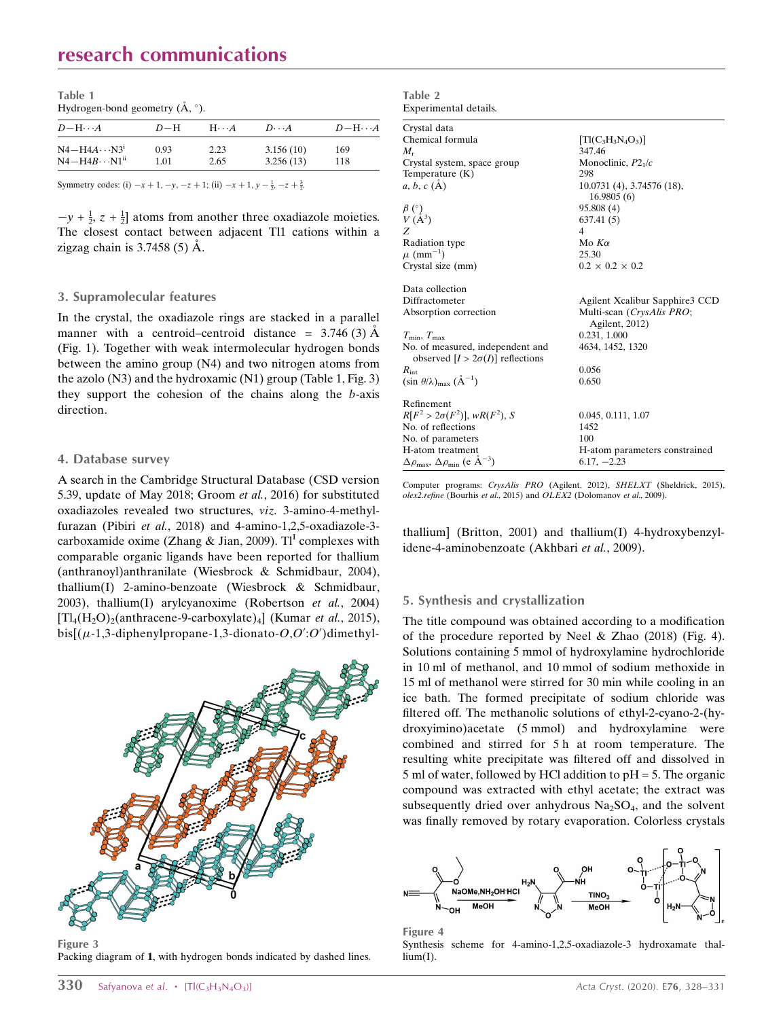# research communications

| Table 1<br>Hydrogen-bond geometry $(\dot{A}, \degree)$ . |              |                         |                        |                   |  |
|----------------------------------------------------------|--------------|-------------------------|------------------------|-------------------|--|
| $D$ -H $\cdots$ A                                        | $D=H$        | $H \cdot \cdot \cdot A$ | $D\cdot\cdot\cdot A$   | $D$ -H $\cdots$ A |  |
| $N4 - H4A \cdots N3^1$<br>$N4 - H4B \cdots N1^{ii}$      | 0.93<br>1.01 | 2.23<br>2.65            | 3.156(10)<br>3.256(13) | 169<br>118        |  |

Symmetry codes: (i)  $-x + 1$ ,  $-y$ ,  $-z + 1$ ; (ii)  $-x + 1$ ,  $y - \frac{1}{2}$ ,  $-z + \frac{3}{2}$ .

 $-y + \frac{1}{2}$ ,  $z + \frac{1}{2}$  atoms from another three oxadiazole moieties. The closest contact between adjacent Tl1 cations within a zigzag chain is  $3.7458(5)$  Å.

#### 3. Supramolecular features

In the crystal, the oxadiazole rings are stacked in a parallel manner with a centroid–centroid distance =  $3.746(3)$  Å (Fig. 1). Together with weak intermolecular hydrogen bonds between the amino group (N4) and two nitrogen atoms from the azolo (N3) and the hydroxamic (N1) group (Table 1, Fig. 3) they support the cohesion of the chains along the b-axis direction.

#### 4. Database survey

A search in the Cambridge Structural Database (CSD version 5.39, update of May 2018; Groom et al., 2016) for substituted oxadiazoles revealed two structures, viz. 3-amino-4-methylfurazan (Pibiri et al., 2018) and 4-amino-1,2,5-oxadiazole-3 carboxamide oxime (Zhang & Jian, 2009).  $TI<sup>I</sup>$  complexes with comparable organic ligands have been reported for thallium (anthranoyl)anthranilate (Wiesbrock & Schmidbaur, 2004), thallium(I) 2-amino-benzoate (Wiesbrock & Schmidbaur, 2003), thallium(I) arylcyanoxime (Robertson et al., 2004)  $[Tl_4(H_2O)_2$ (anthracene-9-carboxylate)<sub>4</sub>] (Kumar *et al.*, 2015), bis $[(\mu -1, \text{3-diphenylpropane-1}, \text{3-dionato-} O, O';O')$ dimethyl-



Figure 3 Packing diagram of 1, with hydrogen bonds indicated by dashed lines.

| Table 2                                                                      |                                 |
|------------------------------------------------------------------------------|---------------------------------|
| Experimental details.                                                        |                                 |
| Crystal data                                                                 |                                 |
| Chemical formula                                                             | $[T1(C_3H_3N_4O_3)]$            |
| $M_{\rm r}$                                                                  | 347.46                          |
| Crystal system, space group                                                  | Monoclinic, $P21/c$             |
| Temperature $(K)$                                                            | 298                             |
| $a, b, c$ (A)                                                                | $10.0731(4)$ , 3.74576 $(18)$ , |
|                                                                              | 16.9805(6)                      |
| $\overset{\beta}{V}{}^{\binom{\circ}{}}_{\text{\small (A^3)}}$               | 95.808 (4)                      |
|                                                                              | 637.41 (5)                      |
| Z                                                                            | 4                               |
| <b>Radiation type</b>                                                        | Mo $K\alpha$                    |
| $\mu$ (mm <sup>-1</sup> )                                                    | 25.30                           |
| Crystal size (mm)                                                            | $0.2 \times 0.2 \times 0.2$     |
| Data collection                                                              |                                 |
| Diffractometer                                                               | Agilent Xcalibur Sapphire3 CCD  |
| Absorption correction                                                        | Multi-scan (CrysAlis PRO;       |
|                                                                              | Agilent, 2012)                  |
| $T_{\min}$ , $T_{\max}$                                                      | 0.231, 1.000                    |
| No. of measured, independent and                                             | 4634, 1452, 1320                |
| observed $[I > 2\sigma(I)]$ reflections                                      | 0.056                           |
| $R_{\rm int}$<br>$(\sin \theta/\lambda)_{\text{max}} (\AA^{-1})$             | 0.650                           |
|                                                                              |                                 |
| Refinement                                                                   |                                 |
| $R[F^2 > 2\sigma(F^2)]$ , w $R(F^2)$ , S                                     | 0.045, 0.111, 1.07              |
| No. of reflections                                                           | 1452                            |
| No. of parameters                                                            | 100                             |
| H-atom treatment                                                             | H-atom parameters constrained   |
| $\Delta \rho_{\text{max}}$ , $\Delta \rho_{\text{min}}$ (e Å <sup>-3</sup> ) | $6.17, -2.23$                   |

Computer programs: CrysAlis PRO (Agilent, 2012), SHELXT (Sheldrick, 2015), olex2.refine (Bourhis et al., 2015) and OLEX2 (Dolomanov et al., 2009).

thallium] (Britton, 2001) and thallium(I) 4-hydroxybenzylidene-4-aminobenzoate (Akhbari et al., 2009).

#### 5. Synthesis and crystallization

The title compound was obtained according to a modification of the procedure reported by Neel & Zhao (2018) (Fig. 4). Solutions containing 5 mmol of hydroxylamine hydrochloride in 10 ml of methanol, and 10 mmol of sodium methoxide in 15 ml of methanol were stirred for 30 min while cooling in an ice bath. The formed precipitate of sodium chloride was filtered off. The methanolic solutions of ethyl-2-cyano-2-(hydroxyimino)acetate (5 mmol) and hydroxylamine were combined and stirred for 5 h at room temperature. The resulting white precipitate was filtered off and dissolved in 5 ml of water, followed by HCl addition to pH = 5. The organic compound was extracted with ethyl acetate; the extract was subsequently dried over anhydrous  $Na<sub>2</sub>SO<sub>4</sub>$ , and the solvent was finally removed by rotary evaporation. Colorless crystals



Figure 4 Synthesis scheme for 4-amino-1,2,5-oxadiazole-3 hydroxamate thal $lium(I)$ .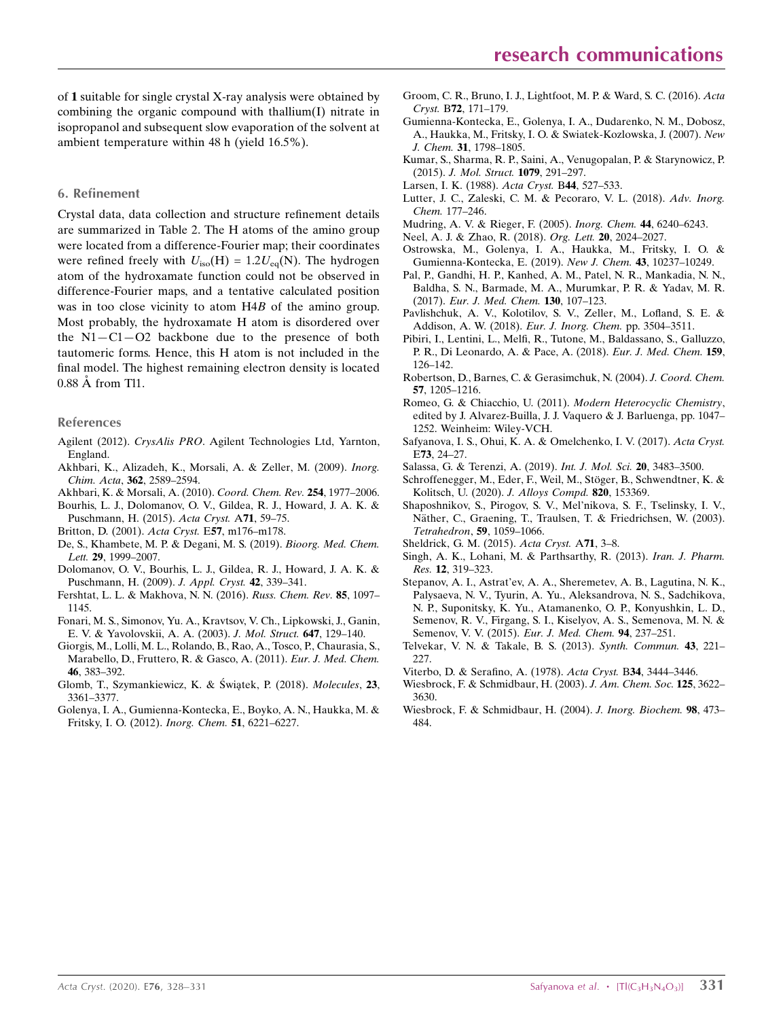of 1 suitable for single crystal X-ray analysis were obtained by combining the organic compound with thallium(I) nitrate in isopropanol and subsequent slow evaporation of the solvent at ambient temperature within 48 h (yield 16.5%).

#### 6. Refinement

Crystal data, data collection and structure refinement details are summarized in Table 2. The H atoms of the amino group were located from a difference-Fourier map; their coordinates were refined freely with  $U_{\text{iso}}(H) = 1.2U_{\text{eq}}(N)$ . The hydrogen atom of the hydroxamate function could not be observed in difference-Fourier maps, and a tentative calculated position was in too close vicinity to atom H4B of the amino group. Most probably, the hydroxamate H atom is disordered over the  $N1 - C1 - O2$  backbone due to the presence of both tautomeric forms. Hence, this H atom is not included in the final model. The highest remaining electron density is located 0.88 Å from Tl1.

#### References

- Agilent (2012). CrysAlis PRO[. Agilent Technologies Ltd, Yarnton,](http://scripts.iucr.org/cgi-bin/cr.cgi?rm=pdfbb&cnor=wm5530&bbid=BB1) [England.](http://scripts.iucr.org/cgi-bin/cr.cgi?rm=pdfbb&cnor=wm5530&bbid=BB1)
- [Akhbari, K., Alizadeh, K., Morsali, A. & Zeller, M. \(2009\).](http://scripts.iucr.org/cgi-bin/cr.cgi?rm=pdfbb&cnor=wm5530&bbid=BB2) Inorg. Chim. Acta, 362[, 2589–2594.](http://scripts.iucr.org/cgi-bin/cr.cgi?rm=pdfbb&cnor=wm5530&bbid=BB2)
- [Akhbari, K. & Morsali, A. \(2010\).](http://scripts.iucr.org/cgi-bin/cr.cgi?rm=pdfbb&cnor=wm5530&bbid=BB3) Coord. Chem. Rev. 254, 1977–2006.
- [Bourhis, L. J., Dolomanov, O. V., Gildea, R. J., Howard, J. A. K. &](http://scripts.iucr.org/cgi-bin/cr.cgi?rm=pdfbb&cnor=wm5530&bbid=BB4) [Puschmann, H. \(2015\).](http://scripts.iucr.org/cgi-bin/cr.cgi?rm=pdfbb&cnor=wm5530&bbid=BB4) Acta Cryst. A71, 59–75.
- [Britton, D. \(2001\).](http://scripts.iucr.org/cgi-bin/cr.cgi?rm=pdfbb&cnor=wm5530&bbid=BB5) Acta Cryst. E57, m176–m178.
- [De, S., Khambete, M. P. & Degani, M. S. \(2019\).](http://scripts.iucr.org/cgi-bin/cr.cgi?rm=pdfbb&cnor=wm5530&bbid=BB6) Bioorg. Med. Chem. Lett. 29[, 1999–2007.](http://scripts.iucr.org/cgi-bin/cr.cgi?rm=pdfbb&cnor=wm5530&bbid=BB6)
- [Dolomanov, O. V., Bourhis, L. J., Gildea, R. J., Howard, J. A. K. &](http://scripts.iucr.org/cgi-bin/cr.cgi?rm=pdfbb&cnor=wm5530&bbid=BB7) [Puschmann, H. \(2009\).](http://scripts.iucr.org/cgi-bin/cr.cgi?rm=pdfbb&cnor=wm5530&bbid=BB7) J. Appl. Cryst. 42, 339–341.
- [Fershtat, L. L. & Makhova, N. N. \(2016\).](http://scripts.iucr.org/cgi-bin/cr.cgi?rm=pdfbb&cnor=wm5530&bbid=BB8) Russ. Chem. Rev. 85, 1097– [1145.](http://scripts.iucr.org/cgi-bin/cr.cgi?rm=pdfbb&cnor=wm5530&bbid=BB8)
- [Fonari, M. S., Simonov, Yu. A., Kravtsov, V. Ch., Lipkowski, J., Ganin,](http://scripts.iucr.org/cgi-bin/cr.cgi?rm=pdfbb&cnor=wm5530&bbid=BB9) [E. V. & Yavolovskii, A. A. \(2003\).](http://scripts.iucr.org/cgi-bin/cr.cgi?rm=pdfbb&cnor=wm5530&bbid=BB9) J. Mol. Struct. 647, 129–140.
- [Giorgis, M., Lolli, M. L., Rolando, B., Rao, A., Tosco, P., Chaurasia, S.,](http://scripts.iucr.org/cgi-bin/cr.cgi?rm=pdfbb&cnor=wm5530&bbid=BB10) [Marabello, D., Fruttero, R. & Gasco, A. \(2011\).](http://scripts.iucr.org/cgi-bin/cr.cgi?rm=pdfbb&cnor=wm5530&bbid=BB10) Eur. J. Med. Chem. 46[, 383–392.](http://scripts.iucr.org/cgi-bin/cr.cgi?rm=pdfbb&cnor=wm5530&bbid=BB10)
- Glomb, T., Szymankiewicz, K. & Świątek, P. (2018). Molecules, 23, [3361–3377.](http://scripts.iucr.org/cgi-bin/cr.cgi?rm=pdfbb&cnor=wm5530&bbid=BB11)
- [Golenya, I. A., Gumienna-Kontecka, E., Boyko, A. N., Haukka, M. &](http://scripts.iucr.org/cgi-bin/cr.cgi?rm=pdfbb&cnor=wm5530&bbid=BB12) [Fritsky, I. O. \(2012\).](http://scripts.iucr.org/cgi-bin/cr.cgi?rm=pdfbb&cnor=wm5530&bbid=BB12) Inorg. Chem. 51, 6221–6227.
- [Groom, C. R., Bruno, I. J., Lightfoot, M. P. & Ward, S. C. \(2016\).](http://scripts.iucr.org/cgi-bin/cr.cgi?rm=pdfbb&cnor=wm5530&bbid=BB13) Acta Cryst. B72[, 171–179.](http://scripts.iucr.org/cgi-bin/cr.cgi?rm=pdfbb&cnor=wm5530&bbid=BB13)
- [Gumienna-Kontecka, E., Golenya, I. A., Dudarenko, N. M., Dobosz,](http://scripts.iucr.org/cgi-bin/cr.cgi?rm=pdfbb&cnor=wm5530&bbid=BB14) [A., Haukka, M., Fritsky, I. O. & Swiatek-Kozlowska, J. \(2007\).](http://scripts.iucr.org/cgi-bin/cr.cgi?rm=pdfbb&cnor=wm5530&bbid=BB14) New J. Chem. 31[, 1798–1805.](http://scripts.iucr.org/cgi-bin/cr.cgi?rm=pdfbb&cnor=wm5530&bbid=BB14)
- [Kumar, S., Sharma, R. P., Saini, A., Venugopalan, P. & Starynowicz, P.](http://scripts.iucr.org/cgi-bin/cr.cgi?rm=pdfbb&cnor=wm5530&bbid=BB15) (2015). [J. Mol. Struct.](http://scripts.iucr.org/cgi-bin/cr.cgi?rm=pdfbb&cnor=wm5530&bbid=BB15) 1079, 291–297.
- [Larsen, I. K. \(1988\).](http://scripts.iucr.org/cgi-bin/cr.cgi?rm=pdfbb&cnor=wm5530&bbid=BB17) Acta Cryst. B44, 527–533.
- [Lutter, J. C., Zaleski, C. M. & Pecoraro, V. L. \(2018\).](http://scripts.iucr.org/cgi-bin/cr.cgi?rm=pdfbb&cnor=wm5530&bbid=BB18) Adv. Inorg. Chem. [177–246.](http://scripts.iucr.org/cgi-bin/cr.cgi?rm=pdfbb&cnor=wm5530&bbid=BB18)
- [Mudring, A. V. & Rieger, F. \(2005\).](http://scripts.iucr.org/cgi-bin/cr.cgi?rm=pdfbb&cnor=wm5530&bbid=BB19) Inorg. Chem. 44, 6240–6243.
- [Neel, A. J. & Zhao, R. \(2018\).](http://scripts.iucr.org/cgi-bin/cr.cgi?rm=pdfbb&cnor=wm5530&bbid=BB20) Org. Lett. 20, 2024–2027.
- [Ostrowska, M., Golenya, I. A., Haukka, M., Fritsky, I. O. &](http://scripts.iucr.org/cgi-bin/cr.cgi?rm=pdfbb&cnor=wm5530&bbid=BB21) [Gumienna-Kontecka, E. \(2019\).](http://scripts.iucr.org/cgi-bin/cr.cgi?rm=pdfbb&cnor=wm5530&bbid=BB21) New J. Chem. 43, 10237–10249.
- [Pal, P., Gandhi, H. P., Kanhed, A. M., Patel, N. R., Mankadia, N. N.,](http://scripts.iucr.org/cgi-bin/cr.cgi?rm=pdfbb&cnor=wm5530&bbid=BB22) [Baldha, S. N., Barmade, M. A., Murumkar, P. R. & Yadav, M. R.](http://scripts.iucr.org/cgi-bin/cr.cgi?rm=pdfbb&cnor=wm5530&bbid=BB22) (2017). [Eur. J. Med. Chem.](http://scripts.iucr.org/cgi-bin/cr.cgi?rm=pdfbb&cnor=wm5530&bbid=BB22) 130, 107–123.
- [Pavlishchuk, A. V., Kolotilov, S. V., Zeller, M., Lofland, S. E. &](http://scripts.iucr.org/cgi-bin/cr.cgi?rm=pdfbb&cnor=wm5530&bbid=BB23) [Addison, A. W. \(2018\).](http://scripts.iucr.org/cgi-bin/cr.cgi?rm=pdfbb&cnor=wm5530&bbid=BB23) Eur. J. Inorg. Chem. pp. 3504–3511.
- [Pibiri, I., Lentini, L., Melfi, R., Tutone, M., Baldassano, S., Galluzzo,](http://scripts.iucr.org/cgi-bin/cr.cgi?rm=pdfbb&cnor=wm5530&bbid=BB24) [P. R., Di Leonardo, A. & Pace, A. \(2018\).](http://scripts.iucr.org/cgi-bin/cr.cgi?rm=pdfbb&cnor=wm5530&bbid=BB24) Eur. J. Med. Chem. 159, [126–142.](http://scripts.iucr.org/cgi-bin/cr.cgi?rm=pdfbb&cnor=wm5530&bbid=BB24)
- [Robertson, D., Barnes, C. & Gerasimchuk, N. \(2004\).](http://scripts.iucr.org/cgi-bin/cr.cgi?rm=pdfbb&cnor=wm5530&bbid=BB25) J. Coord. Chem. 57[, 1205–1216.](http://scripts.iucr.org/cgi-bin/cr.cgi?rm=pdfbb&cnor=wm5530&bbid=BB25)
- [Romeo, G. & Chiacchio, U. \(2011\).](http://scripts.iucr.org/cgi-bin/cr.cgi?rm=pdfbb&cnor=wm5530&bbid=BB26) Modern Heterocyclic Chemistry, [edited by J. Alvarez-Builla, J. J. Vaquero & J. Barluenga, pp. 1047–](http://scripts.iucr.org/cgi-bin/cr.cgi?rm=pdfbb&cnor=wm5530&bbid=BB26) [1252. Weinheim: Wiley-VCH.](http://scripts.iucr.org/cgi-bin/cr.cgi?rm=pdfbb&cnor=wm5530&bbid=BB26)
- [Safyanova, I. S., Ohui, K. A. & Omelchenko, I. V. \(2017\).](http://scripts.iucr.org/cgi-bin/cr.cgi?rm=pdfbb&cnor=wm5530&bbid=BB27) Acta Cryst. E73[, 24–27.](http://scripts.iucr.org/cgi-bin/cr.cgi?rm=pdfbb&cnor=wm5530&bbid=BB27)
- [Salassa, G. & Terenzi, A. \(2019\).](http://scripts.iucr.org/cgi-bin/cr.cgi?rm=pdfbb&cnor=wm5530&bbid=BB28) Int. J. Mol. Sci. 20, 3483–3500.
- Schroffenegger, M., Eder, F., Weil, M., Stöger, B., Schwendtner, K. & [Kolitsch, U. \(2020\).](http://scripts.iucr.org/cgi-bin/cr.cgi?rm=pdfbb&cnor=wm5530&bbid=BB29) J. Alloys Compd. 820, 153369.
- [Shaposhnikov, S., Pirogov, S. V., Mel'nikova, S. F., Tselinsky, I. V.,](http://scripts.iucr.org/cgi-bin/cr.cgi?rm=pdfbb&cnor=wm5530&bbid=BB30) Näther, C., Graening, T., Traulsen, T. & Friedrichsen, W. (2003). [Tetrahedron](http://scripts.iucr.org/cgi-bin/cr.cgi?rm=pdfbb&cnor=wm5530&bbid=BB30), 59, 1059–1066.
- [Sheldrick, G. M. \(2015\).](http://scripts.iucr.org/cgi-bin/cr.cgi?rm=pdfbb&cnor=wm5530&bbid=BB31) Acta Cryst. A71, 3–8.
- [Singh, A. K., Lohani, M. & Parthsarthy, R. \(2013\).](http://scripts.iucr.org/cgi-bin/cr.cgi?rm=pdfbb&cnor=wm5530&bbid=BB16) Iran. J. Pharm. Res. 12[, 319–323.](http://scripts.iucr.org/cgi-bin/cr.cgi?rm=pdfbb&cnor=wm5530&bbid=BB16)
- [Stepanov, A. I., Astrat'ev, A. A., Sheremetev, A. B., Lagutina, N. K.,](http://scripts.iucr.org/cgi-bin/cr.cgi?rm=pdfbb&cnor=wm5530&bbid=BB32) [Palysaeva, N. V., Tyurin, A. Yu., Aleksandrova, N. S., Sadchikova,](http://scripts.iucr.org/cgi-bin/cr.cgi?rm=pdfbb&cnor=wm5530&bbid=BB32) [N. P., Suponitsky, K. Yu., Atamanenko, O. P., Konyushkin, L. D.,](http://scripts.iucr.org/cgi-bin/cr.cgi?rm=pdfbb&cnor=wm5530&bbid=BB32) [Semenov, R. V., Firgang, S. I., Kiselyov, A. S., Semenova, M. N. &](http://scripts.iucr.org/cgi-bin/cr.cgi?rm=pdfbb&cnor=wm5530&bbid=BB32) [Semenov, V. V. \(2015\).](http://scripts.iucr.org/cgi-bin/cr.cgi?rm=pdfbb&cnor=wm5530&bbid=BB32) Eur. J. Med. Chem. 94, 237-251.
- [Telvekar, V. N. & Takale, B. S. \(2013\).](http://scripts.iucr.org/cgi-bin/cr.cgi?rm=pdfbb&cnor=wm5530&bbid=BB33) Synth. Commun. 43, 221– [227.](http://scripts.iucr.org/cgi-bin/cr.cgi?rm=pdfbb&cnor=wm5530&bbid=BB33)
- [Viterbo, D. & Serafino, A. \(1978\).](http://scripts.iucr.org/cgi-bin/cr.cgi?rm=pdfbb&cnor=wm5530&bbid=BB34) Acta Cryst. B34, 3444-3446.
- [Wiesbrock, F. & Schmidbaur, H. \(2003\).](http://scripts.iucr.org/cgi-bin/cr.cgi?rm=pdfbb&cnor=wm5530&bbid=BB35) J. Am. Chem. Soc. 125, 3622– [3630.](http://scripts.iucr.org/cgi-bin/cr.cgi?rm=pdfbb&cnor=wm5530&bbid=BB35)
- [Wiesbrock, F. & Schmidbaur, H. \(2004\).](http://scripts.iucr.org/cgi-bin/cr.cgi?rm=pdfbb&cnor=wm5530&bbid=BB36) J. Inorg. Biochem. 98, 473– [484.](http://scripts.iucr.org/cgi-bin/cr.cgi?rm=pdfbb&cnor=wm5530&bbid=BB36)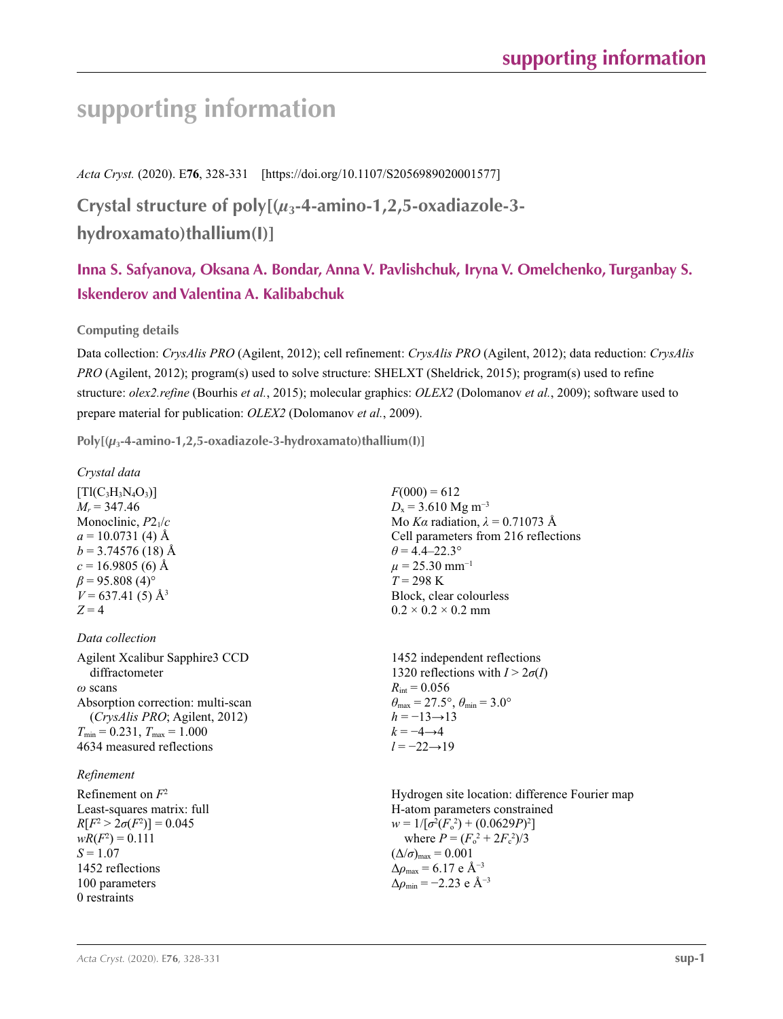# **supporting information**

*Acta Cryst.* (2020). E**76**, 328-331 [https://doi.org/10.1107/S2056989020001577]

**Crystal structure of poly[(***µ***3-4-amino-1,2,5-oxadiazole-3 hydroxamato)thallium(I)]**

# **Inna S. Safyanova, Oksana A. Bondar, Anna V. Pavlishchuk, Iryna V. Omelchenko, Turganbay S. Iskenderov and Valentina A. Kalibabchuk**

## **Computing details**

Data collection: *CrysAlis PRO* (Agilent, 2012); cell refinement: *CrysAlis PRO* (Agilent, 2012); data reduction: *CrysAlis PRO* (Agilent, 2012); program(s) used to solve structure: SHELXT (Sheldrick, 2015); program(s) used to refine structure: *olex2.refine* (Bourhis *et al.*, 2015); molecular graphics: *OLEX2* (Dolomanov *et al.*, 2009); software used to prepare material for publication: *OLEX2* (Dolomanov *et al.*, 2009).

**Poly[(***µ***3-4-amino-1,2,5-oxadiazole-3-hydroxamato)thallium(I)]** 

*Crystal data*

 $[Tl(C_3H_3N_4O_3)]$  $M_r = 347.46$ Monoclinic, *P*21/*c*  $a = 10.0731(4)$  Å  $b = 3.74576(18)$  Å  $c = 16.9805$  (6) Å  $\beta$  = 95.808 (4)<sup>o</sup>  $V = 637.41(5)$  Å<sup>3</sup>  $Z = 4$ 

*Data collection* Agilent Xcalibur Sapphire3 CCD diffractometer *ω* scans Absorption correction: multi-scan (*CrysAlis PRO*; Agilent, 2012)  $T_{\text{min}} = 0.231, T_{\text{max}} = 1.000$ 

## *Refinement*

Refinement on *F*<sup>2</sup> Least-squares matrix: full *R*[ $F^2 > 2\sigma(F^2)$ ] = 0.045  $wR(F^2) = 0.111$  $S = 1.07$ 1452 reflections 100 parameters 0 restraints

4634 measured reflections

 $F(000) = 612$  $D_x$  = 3.610 Mg m<sup>-3</sup> Mo *Kα* radiation,  $\lambda = 0.71073$  Å Cell parameters from 216 reflections  $\theta$  = 4.4–22.3°  $\mu$  = 25.30 mm<sup>-1</sup>  $T = 298 \text{ K}$ Block, clear colourless  $0.2 \times 0.2 \times 0.2$  mm

1452 independent reflections 1320 reflections with  $I > 2\sigma(I)$  $R_{\text{int}} = 0.056$  $\theta_{\text{max}} = 27.5^{\circ}, \theta_{\text{min}} = 3.0^{\circ}$  $h = -13 \rightarrow 13$  $k = -4 \rightarrow 4$ *l* = −22→19

Hydrogen site location: difference Fourier map H-atom parameters constrained  $w = 1/[\sigma^2 (F_o^2) + (0.0629P)^2]$ where  $P = (F_o^2 + 2F_c^2)/3$  $(\Delta/\sigma)_{\text{max}} = 0.001$  $\Delta\rho_{\text{max}}$  = 6.17 e Å<sup>-3</sup> Δ*ρ*min = −2.23 e Å−3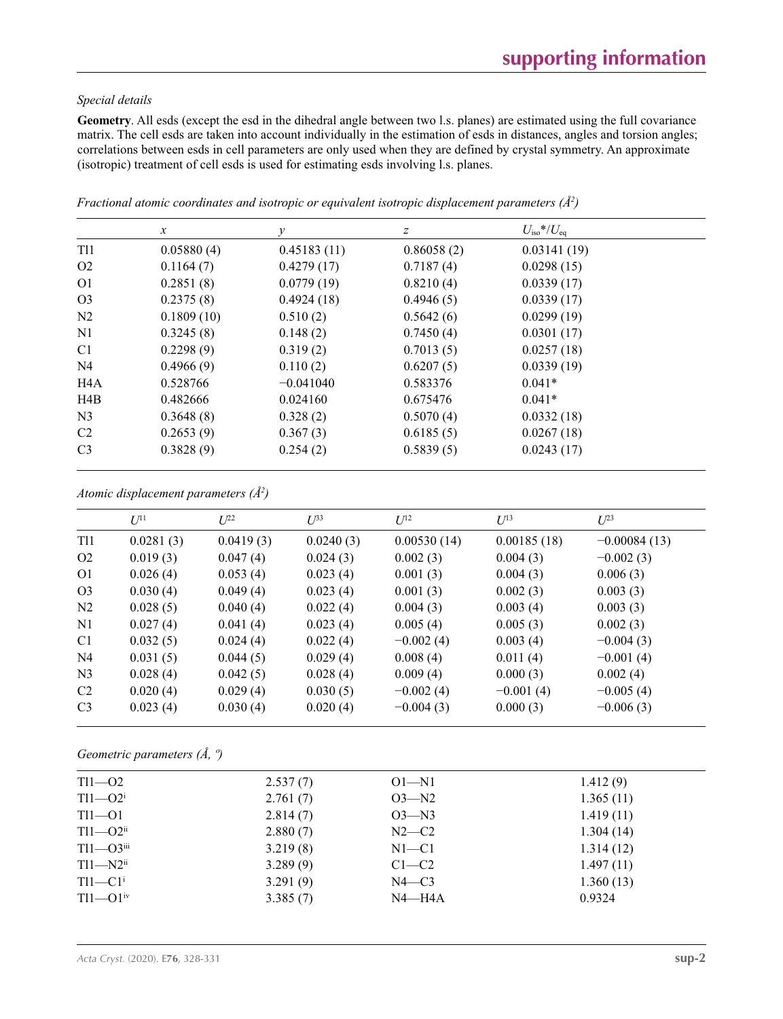### *Special details*

**Geometry**. All esds (except the esd in the dihedral angle between two l.s. planes) are estimated using the full covariance matrix. The cell esds are taken into account individually in the estimation of esds in distances, angles and torsion angles; correlations between esds in cell parameters are only used when they are defined by crystal symmetry. An approximate (isotropic) treatment of cell esds is used for estimating esds involving l.s. planes.

|                  | $\mathcal{X}$ | $\mathcal{Y}$ | Ζ          | $U_{\rm iso}$ */ $U_{\rm eq}$ |  |
|------------------|---------------|---------------|------------|-------------------------------|--|
| <b>T11</b>       | 0.05880(4)    | 0.45183(11)   | 0.86058(2) | 0.03141(19)                   |  |
| O <sub>2</sub>   | 0.1164(7)     | 0.4279(17)    | 0.7187(4)  | 0.0298(15)                    |  |
| O <sub>1</sub>   | 0.2851(8)     | 0.0779(19)    | 0.8210(4)  | 0.0339(17)                    |  |
| O <sub>3</sub>   | 0.2375(8)     | 0.4924(18)    | 0.4946(5)  | 0.0339(17)                    |  |
| N <sub>2</sub>   | 0.1809(10)    | 0.510(2)      | 0.5642(6)  | 0.0299(19)                    |  |
| N1               | 0.3245(8)     | 0.148(2)      | 0.7450(4)  | 0.0301(17)                    |  |
| C <sub>1</sub>   | 0.2298(9)     | 0.319(2)      | 0.7013(5)  | 0.0257(18)                    |  |
| N <sub>4</sub>   | 0.4966(9)     | 0.110(2)      | 0.6207(5)  | 0.0339(19)                    |  |
| H <sub>4</sub> A | 0.528766      | $-0.041040$   | 0.583376   | $0.041*$                      |  |
| H4B              | 0.482666      | 0.024160      | 0.675476   | $0.041*$                      |  |
| N <sub>3</sub>   | 0.3648(8)     | 0.328(2)      | 0.5070(4)  | 0.0332(18)                    |  |
| C <sub>2</sub>   | 0.2653(9)     | 0.367(3)      | 0.6185(5)  | 0.0267(18)                    |  |
| C <sub>3</sub>   | 0.3828(9)     | 0.254(2)      | 0.5839(5)  | 0.0243(17)                    |  |

*Fractional atomic coordinates and isotropic or equivalent isotropic displacement parameters (Å<sup>2</sup>)* 

|  | Atomic displacement parameters $(\AA^2)$ |  |  |
|--|------------------------------------------|--|--|
|--|------------------------------------------|--|--|

|                | $U^{11}$  | $L^{22}$  | $\mathcal{L}^{\beta 3}$ | $U^{12}$    | $U^{13}$    | $U^{23}$       |
|----------------|-----------|-----------|-------------------------|-------------|-------------|----------------|
| <b>T11</b>     | 0.0281(3) | 0.0419(3) | 0.0240(3)               | 0.00530(14) | 0.00185(18) | $-0.00084(13)$ |
| O <sub>2</sub> | 0.019(3)  | 0.047(4)  | 0.024(3)                | 0.002(3)    | 0.004(3)    | $-0.002(3)$    |
| O <sub>1</sub> | 0.026(4)  | 0.053(4)  | 0.023(4)                | 0.001(3)    | 0.004(3)    | 0.006(3)       |
| O <sub>3</sub> | 0.030(4)  | 0.049(4)  | 0.023(4)                | 0.001(3)    | 0.002(3)    | 0.003(3)       |
| N <sub>2</sub> | 0.028(5)  | 0.040(4)  | 0.022(4)                | 0.004(3)    | 0.003(4)    | 0.003(3)       |
| N1             | 0.027(4)  | 0.041(4)  | 0.023(4)                | 0.005(4)    | 0.005(3)    | 0.002(3)       |
| C <sub>1</sub> | 0.032(5)  | 0.024(4)  | 0.022(4)                | $-0.002(4)$ | 0.003(4)    | $-0.004(3)$    |
| N <sub>4</sub> | 0.031(5)  | 0.044(5)  | 0.029(4)                | 0.008(4)    | 0.011(4)    | $-0.001(4)$    |
| N <sub>3</sub> | 0.028(4)  | 0.042(5)  | 0.028(4)                | 0.009(4)    | 0.000(3)    | 0.002(4)       |
| C <sub>2</sub> | 0.020(4)  | 0.029(4)  | 0.030(5)                | $-0.002(4)$ | $-0.001(4)$ | $-0.005(4)$    |
| C <sub>3</sub> | 0.023(4)  | 0.030(4)  | 0.020(4)                | $-0.004(3)$ | 0.000(3)    | $-0.006(3)$    |

*Geometric parameters (Å, º)*

| $T11 - 02$               | 2.537(7) | $O1 - N1$  | 1.412(9)  |  |
|--------------------------|----------|------------|-----------|--|
| $T11 - O2$ <sup>i</sup>  | 2.761(7) | $O3 - N2$  | 1.365(11) |  |
| $T11-01$                 | 2.814(7) | $O3 - N3$  | 1.419(11) |  |
| $T11 - Q2$ <sup>ii</sup> | 2.880(7) | $N2-C2$    | 1.304(14) |  |
| $T11 - O3$ iii           | 3.219(8) | $N1 - C1$  | 1.314(12) |  |
| $T11 - N2$ <sup>ii</sup> | 3.289(9) | $C1-C2$    | 1.497(11) |  |
| $T11-C1$ <sup>i</sup>    | 3.291(9) | $N4 - C3$  | 1.360(13) |  |
| $T11 - Q1$ <sup>iv</sup> | 3.385(7) | $N4 - H4A$ | 0.9324    |  |
|                          |          |            |           |  |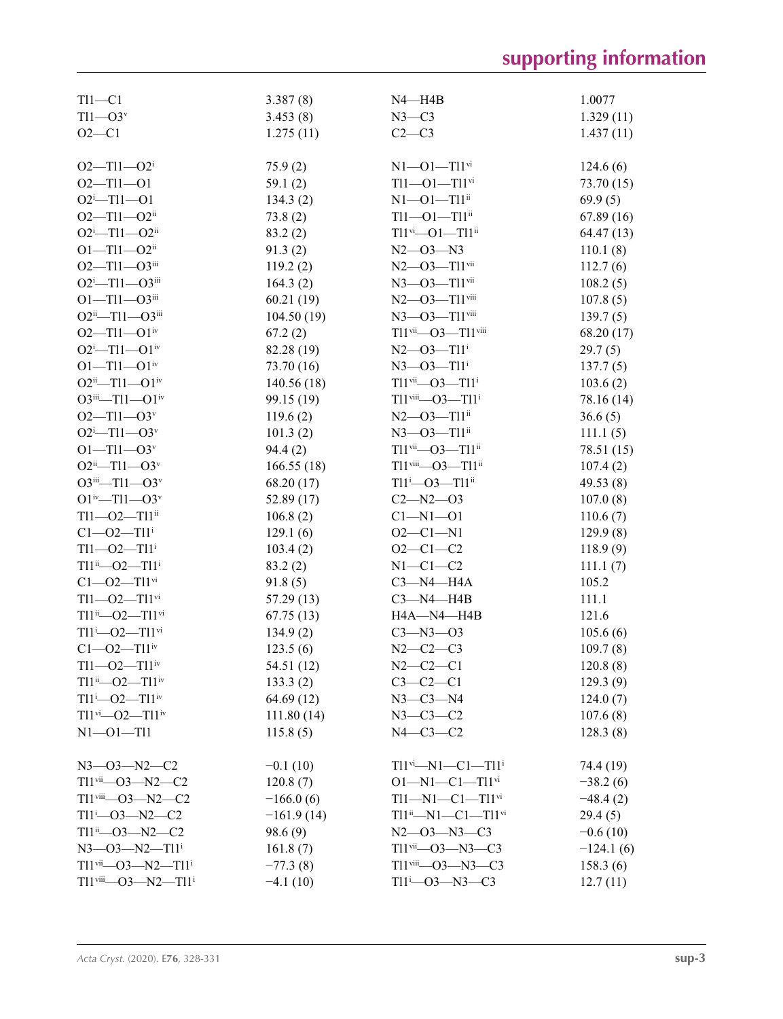| $T11 - C1$                                              | 3.387(8)     | N4-H4B                                             | 1.0077      |
|---------------------------------------------------------|--------------|----------------------------------------------------|-------------|
| $T11 - O3v$                                             | 3.453(8)     | $N3-C3$                                            | 1.329(11)   |
| $O2 - C1$                                               | 1.275(11)    | $C2-C3$                                            | 1.437(11)   |
|                                                         |              |                                                    |             |
| $O2 - T11 - O2$ <sup>i</sup>                            | 75.9(2)      | $N1 - 01 - T11$ <sup>vi</sup>                      | 124.6(6)    |
| $O2 - T11 - O1$                                         | 59.1(2)      | $T11 - 01 - T11$ <sup>vi</sup>                     | 73.70 (15)  |
| $O2^{i}$ -Tl1--O1                                       | 134.3(2)     | $N1 - 01 - T11$ <sup>ii</sup>                      | 69.9(5)     |
| $O2 - T11 - O2$ ii                                      | 73.8(2)      | $T11 - O1 - T11$ <sup>ii</sup>                     | 67.89(16)   |
| $O2^{\text{i}}$ -Tl1- $O2^{\text{ii}}$                  | 83.2(2)      | $T11$ <sup>vi</sup> -- $O1$ -- $T11$ <sup>ii</sup> | 64.47 (13)  |
| $O1 - T11 - O2$ <sup>ii</sup>                           | 91.3(2)      | $N2 - 03 - N3$                                     | 110.1(8)    |
| $O2 - T11 - O3$ iii                                     | 119.2(2)     | $N2$ — $O3$ — $T11$ <sup>vii</sup>                 | 112.7(6)    |
| $O2^{i}$ -T11- $O3^{iii}$                               | 164.3(2)     | $N3 - 03 - T11$ <sup>vii</sup>                     | 108.2(5)    |
| $O1 - T11 - O3$ iii                                     | 60.21(19)    | $N2$ — $O3$ — $T11$ <sup>viii</sup>                | 107.8(5)    |
| $O2^{ii}$ —T11— $O3^{iii}$                              | 104.50(19)   | $N3 - 03 - T11$ <sup>viii</sup>                    | 139.7(5)    |
| $O2 - T11 - O1$ <sup>iv</sup>                           | 67.2(2)      | Tl1vii-03-Tl1viii                                  | 68.20 (17)  |
| $O2^{\mathrm{i}}$ -Tl1- $O1^{\mathrm{iv}}$              | 82.28 (19)   | $N2 - 03 - T11$ <sup>i</sup>                       | 29.7(5)     |
| $O1 - T11 - O1$ <sup>iv</sup>                           | 73.70 (16)   | $N3 - 03 - T11$ <sup>i</sup>                       | 137.7(5)    |
| $O2^{ii}$ —Tl1— $O1^{iv}$                               | 140.56(18)   | $T11$ <sup>vii</sup> - $O3$ - $T11$ <sup>i</sup>   | 103.6(2)    |
| $O3^{iii} - T11 - O1^{iv}$                              | 99.15 (19)   | $T11$ <sup>viii</sup> - $O3$ - $T11$ <sup>i</sup>  | 78.16 (14)  |
| $O2 - T11 - O3v$                                        | 119.6(2)     | $N2 - 03 - T11$ <sup>ii</sup>                      | 36.6(5)     |
| $O2^{i}$ -Tl1- $O3^{v}$                                 | 101.3(2)     | $N3 - 03 - T11$ <sup>ii</sup>                      | 111.1(5)    |
| $O1 - T11 - O3v$                                        | 94.4(2)      | $T11$ <sup>vii</sup> - $O3 - T11$ <sup>ii</sup>    | 78.51 (15)  |
| $O2ii$ -T11- $O3v$                                      | 166.55(18)   | $T11$ <sup>viii</sup> —O3— $T11$ <sup>ii</sup>     | 107.4(2)    |
| $O3$ <sup>iii</sup> —Tl1— $O3^v$                        | 68.20 (17)   | $T11^{i}$ - $O3$ - $T11^{ii}$                      | 49.53 $(8)$ |
| $O1^{iv}$ —T11— $O3^v$                                  | 52.89 (17)   | $C2 - N2 - O3$                                     | 107.0(8)    |
| $T11 - 02 - T11$ <sup>ii</sup>                          | 106.8(2)     | $Cl - N1 - O1$                                     | 110.6(7)    |
| $C1 - 02 - T11$ <sup>i</sup>                            | 129.1(6)     | $O2 - C1 - N1$                                     | 129.9(8)    |
| $T11 - 02 - T11$ <sup>i</sup>                           | 103.4(2)     | $O2 - C1 - C2$                                     | 118.9(9)    |
| $T11^{ii}$ - $O2$ - $T11^{i}$                           | 83.2(2)      | $N1-C1-C2$                                         | 111.1(7)    |
| $C1 - 02 - T11$ <sup>vi</sup>                           | 91.8(5)      | $C3-M4-H4A$                                        | 105.2       |
| $T11 - 02 - T11$ <sup>vi</sup>                          | 57.29(13)    | $C3 - N4 - H4B$                                    | 111.1       |
| $T11^{ii}$ - $O2$ - $T11^{vi}$                          | 67.75(13)    | <b>H4A-N4-H4B</b>                                  | 121.6       |
| $T11^{i}$ - 02 - $T11^{vi}$                             | 134.9(2)     | $C3 - N3 - O3$                                     | 105.6(6)    |
| $C1 - O2 - T11$ iv                                      | 123.5(6)     | $N2-C2-C3$                                         | 109.7(8)    |
| $T11 - 02 - T11$ <sup>iv</sup>                          | 54.51 (12)   | $N2 - C2 - C1$                                     | 120.8(8)    |
| $T11^{ii}$ - 02 - $T11^{iv}$                            | 133.3(2)     | $C3-C2-C1$                                         | 129.3(9)    |
| $T11^{i} - 02 - T11^{iv}$                               | 64.69 (12)   | $N3 - C3 - N4$                                     | 124.0(7)    |
| $T11^{vi}$ - $O2$ - $T11^{iv}$                          | 111.80(14)   | $N3-C3-C2$                                         | 107.6(8)    |
| $N1 - 01 - T11$                                         | 115.8(5)     | $N4-C3-C2$                                         | 128.3(8)    |
|                                                         |              |                                                    |             |
| $N3 - 03 - N2 - C2$                                     | $-0.1(10)$   | $T11^{vi} - N1 - C1 - T11^{i}$                     | 74.4 (19)   |
| $T11$ <sup>vii</sup> —O3—N2—C2                          | 120.8(7)     | $O1 - N1 - C1 - T11$ <sup>vi</sup>                 | $-38.2(6)$  |
| $T11$ <sup>viii</sup> -03-N2-C2                         | $-166.0(6)$  | $T11 - N1 - C1 - T11$ <sup>vi</sup>                | $-48.4(2)$  |
| $T11^{i} - 03 - N2 - C2$                                | $-161.9(14)$ | $T11^{ii} - N1 - C1 - T11^{vi}$                    | 29.4(5)     |
| $T11^{ii} - 03 - N2 - C2$                               | 98.6(9)      | $N2 - 03 - N3 - C3$                                | $-0.6(10)$  |
| $N3 - 03 - N2 - T11$ <sup>i</sup>                       | 161.8(7)     | $T11$ <sup>vii</sup> —O3—N3—C3                     | $-124.1(6)$ |
| $T11$ <sup>vii</sup> - $O3$ - $N2$ - $T11$ <sup>i</sup> | $-77.3(8)$   | $T11$ <sup>viii</sup> —O3—N3—C3                    | 158.3(6)    |
| $T11$ <sup>viii</sup> -03-N2- $T11$ <sup>i</sup>        | $-4.1(10)$   | $T11^{i} - 03 - N3 - C3$                           | 12.7(11)    |
|                                                         |              |                                                    |             |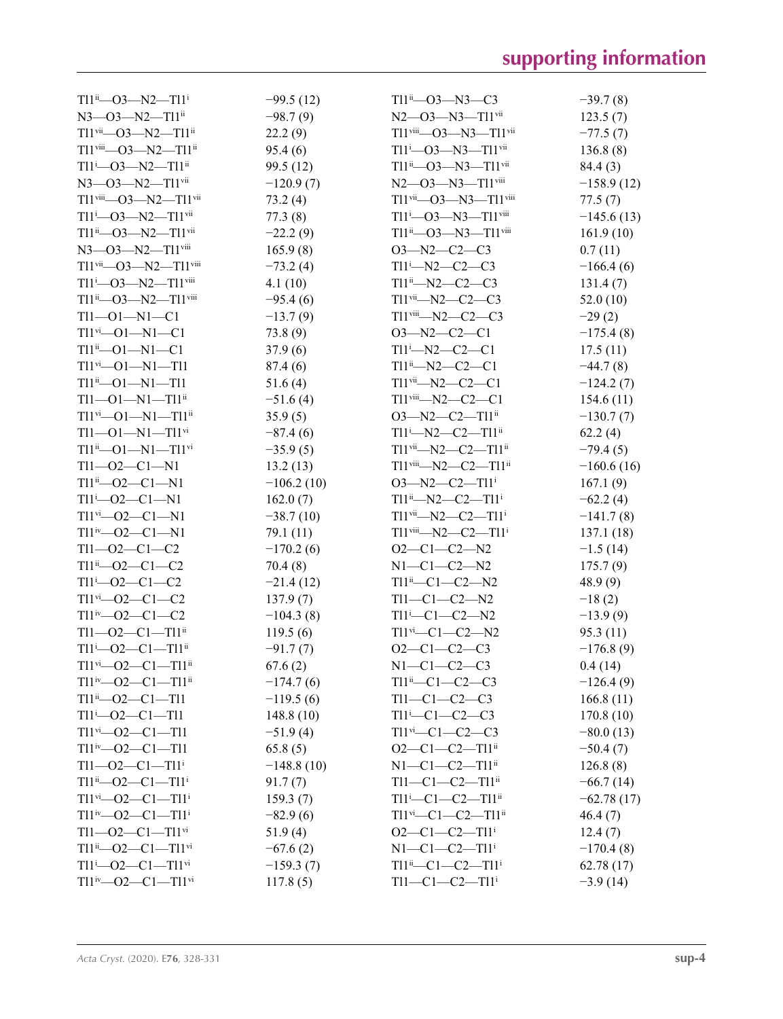| $T11^{ii}$ - 03 - N2 - $T11^{i}$                   | $-99.5(12)$  | $T11^{ii}$ —O3—N3—C3                                          | $-39.7(8)$   |
|----------------------------------------------------|--------------|---------------------------------------------------------------|--------------|
| $N3$ — $O3$ — $N2$ — $T11$ <sup>ii</sup>           | $-98.7(9)$   | $N2$ — $O3$ — $N3$ — $T11$ <sup>vii</sup>                     | 123.5(7)     |
| $T11$ <sup>vii</sup> —O3—N2—T11 <sup>ii</sup>      | 22.2(9)      | $T11$ <sup>viii</sup> —O3—N3— $T11$ <sup>vii</sup>            | $-77.5(7)$   |
| $T11$ <sup>viii</sup> —O3—N2—T11 <sup>ii</sup>     | 95.4(6)      | $T11^{i}$ - $O3$ - $N3$ - $T11$ <sup>vii</sup>                | 136.8(8)     |
| $T11 - 03 - N2 - T11$ <sup>ii</sup>                | 99.5 (12)    | $T11^{ii}$ - $O3$ - $N3$ - $T11$ <sup>vii</sup>               | 84.4 (3)     |
| $N3$ — $O3$ — $N2$ — $T11$ <sup>vii</sup>          | $-120.9(7)$  | $N2$ — $O3$ — $N3$ — $T11$ <sup>viii</sup>                    | $-158.9(12)$ |
| $T11$ <sup>viii</sup> -03-N2-T11 <sup>vii</sup>    | 73.2(4)      | $T11$ <sup>vii</sup> -- $O3$ -- $N3$ -- $T11$ <sup>viii</sup> | 77.5(7)      |
| $T11 - O3 - N2 - T11$ <sup>vii</sup>               | 77.3(8)      | $T11 - O3 - N3 - T11$ <sup>viii</sup>                         | $-145.6(13)$ |
| $T11^{ii}$ - $O3$ - $N2$ - $T11^{vii}$             | $-22.2(9)$   | $T11^{ii}$ - $O3$ - $N3$ - $T11$ <sup>viii</sup>              | 161.9(10)    |
| $N3 - 03 - N2 - T11$ <sup>viii</sup>               | 165.9(8)     | $O3 - N2 - C2 - C3$                                           | 0.7(11)      |
| $T11$ <sup>vii</sup> —O3—N2— $T11$ <sup>viii</sup> | $-73.2(4)$   | $T11 - N2 - C2 - C3$                                          | $-166.4(6)$  |
| $T11^{i}$ - $O3$ - $N2$ - $T11$ <sup>viii</sup>    | 4.1(10)      | $T11^{ii} - N2 - C2 - C3$                                     | 131.4(7)     |
| $T11^{ii}$ - $O3$ - $N2$ - $T11$ <sup>viii</sup>   | $-95.4(6)$   | $T11$ <sup>vii</sup> -N2-C2-C3                                | 52.0(10)     |
| $T11 - 01 - N1 - C1$                               | $-13.7(9)$   | $T11$ <sup>viii</sup> -N2-C2-C3                               | $-29(2)$     |
| $T11^{vi} - 01 - N1 - C1$                          | 73.8(9)      | $O3 - N2 - C2 - C1$                                           | $-175.4(8)$  |
| $T11^{ii} - 01 - N1 - C1$                          |              | $TI1^{i} - N2 - C2 - C1$                                      |              |
|                                                    | 37.9(6)      |                                                               | 17.5(11)     |
| $T11^{vi} - 01 - N1 - T11$                         | 87.4 (6)     | $T11^{ii} - N2 - C2 - C1$                                     | $-44.7(8)$   |
| $T11^{ii} - 01 - N1 - T11$                         | 51.6(4)      | $T11$ <sup>vii</sup> -N2-C2-C1                                | $-124.2(7)$  |
| $T11 - 01 - N1 - T11$ <sup>ii</sup>                | $-51.6(4)$   | $T11$ <sup>viii</sup> —N2—C2—C1                               | 154.6(11)    |
| $T11^{vi}$ - $O1$ - $N1$ - $T11^{ii}$              | 35.9(5)      | $O3 - N2 - C2 - T11$ <sup>ii</sup>                            | $-130.7(7)$  |
| $T11 - 01 - N1 - T11$ <sup>vi</sup>                | $-87.4(6)$   | $T11^{i} - N2 - C2 - T11^{ii}$                                | 62.2(4)      |
| $T11^{ii} - 01 - N1 - T11^{vi}$                    | $-35.9(5)$   | $T11$ <sup>vii</sup> -N2-C2-T11 <sup>ii</sup>                 | $-79.4(5)$   |
| $T11 - 02 - C1 - N1$                               | 13.2(13)     | $T11$ <sup>viii</sup> —N2—C2—T11 <sup>ii</sup>                | $-160.6(16)$ |
| $T11^{ii}$ - $O2$ - $C1$ - $N1$                    | $-106.2(10)$ | $O3 - N2 - C2 - T11$                                          | 167.1(9)     |
| $T11 - O2 - C1 - N1$                               | 162.0(7)     | $T11^{ii} - N2 - C2 - T11^{i}$                                | $-62.2(4)$   |
| $T11^{vi}$ - $O2$ - $C1$ - $N1$                    | $-38.7(10)$  | $T11$ <sup>vii</sup> —N2—C2—T11 <sup>i</sup>                  | $-141.7(8)$  |
| $T11^{iv}$ - $O2$ - $C1$ - $N1$                    | 79.1 (11)    | $T11$ <sup>viii</sup> —N2—C2—T11 <sup>i</sup>                 | 137.1(18)    |
| $T11 - 02 - C1 - C2$                               | $-170.2(6)$  | $O2-C1-C2-N2$                                                 | $-1.5(14)$   |
| $T11^{ii} - 02 - C1 - C2$                          | 70.4(8)      | $N1-C1-C2-N2$                                                 | 175.7(9)     |
| $T11 - O2 - C1 - C2$                               | $-21.4(12)$  | $T11^{ii} - C1 - C2 - N2$                                     | 48.9(9)      |
| $T11$ <sup>vi</sup> - $O2$ - $C1$ - $C2$           | 137.9(7)     | $T11-C1-C2-N2$                                                | $-18(2)$     |
| $T11^{iv} - 02 - C1 - C2$                          | $-104.3(8)$  | $T11$ <sup>i</sup> -C1-C2-N2                                  | $-13.9(9)$   |
| $T11 - 02 - C1 - T11$ <sup>ii</sup>                | 119.5(6)     | $T11^{vi} - C1 - C2 - N2$                                     | 95.3(11)     |
| $T11^{i}$ - $O2$ - $C1$ - $T11^{ii}$               | $-91.7(7)$   | $O2-C1-C2-C3$                                                 | $-176.8(9)$  |
| $T11^{vi}$ - $O2$ - $C1$ - $T11^{ii}$              | 67.6(2)      | $N1-C1-C2-C3$                                                 | 0.4(14)      |
| $T11^{iv}$ - $O2$ - $C1$ - $T11^{ii}$              | $-174.7(6)$  | $T11^{ii}$ - $C1$ - $C2$ - $C3$                               | $-126.4(9)$  |
| $T11^{ii} - 02 - C1 - T11$                         | $-119.5(6)$  | $T11-C1-C2-C3$                                                | 166.8(11)    |
| $T11 - 02 - C1 - T11$                              | 148.8(10)    | $T11$ <sup>i</sup> -C1-C2-C3                                  | 170.8(10)    |
| $T11$ <sup>vi</sup> — O2 — C1 — T11                | $-51.9(4)$   | $T11$ <sup>vi</sup> - $C1$ - $C2$ - $C3$                      | $-80.0(13)$  |
| $T11^{iv}$ - $O2$ - $C1$ - $T11$                   | 65.8(5)      | $O2-C1-C2-T11ii$                                              | $-50.4(7)$   |
| $T11 - 02 - C1 - T11$ <sup>i</sup>                 | $-148.8(10)$ | $N1 - C1 - C2 - T11$ <sup>ii</sup>                            | 126.8(8)     |
| $T11^{ii}$ - $O2$ - $C1$ - $T11^{i}$               | 91.7(7)      | $T11-C1-C2-T11$ <sup>ii</sup>                                 | $-66.7(14)$  |
| $T11^{vi}$ - $O2$ - $C1$ - $T11$ <sup>i</sup>      | 159.3(7)     | Tl1 <sup>i</sup> -Cl-C2-Tl1 <sup>ii</sup>                     | $-62.78(17)$ |
| $T11^{iv}$ - $O2$ - $C1$ - $T11^{i}$               | $-82.9(6)$   | $T11$ <sup>vi</sup> - $C1$ - $C2$ - $T11$ <sup>ii</sup>       | 46.4(7)      |
| $T11 - 02 - C1 - T11$ <sup>vi</sup>                | 51.9(4)      | $O2-C1-C2-T11$ <sup>i</sup>                                   | 12.4(7)      |
| $T11^{ii}$ - $O2$ - $C1$ - $T11^{vi}$              | $-67.6(2)$   | $N1-C1-C2-T11$                                                | $-170.4(8)$  |
| $T11^{i}$ - $O2$ - $C1$ - $T11^{vi}$               | $-159.3(7)$  | $T11^{ii}$ - $C1$ - $C2$ - $T11^{i}$                          | 62.78(17)    |
| $T11^{iv}$ - $O2$ - $C1$ - $T11^{vi}$              | 117.8(5)     | $T11 - C1 - C2 - T11$ <sup>i</sup>                            | $-3.9(14)$   |
|                                                    |              |                                                               |              |